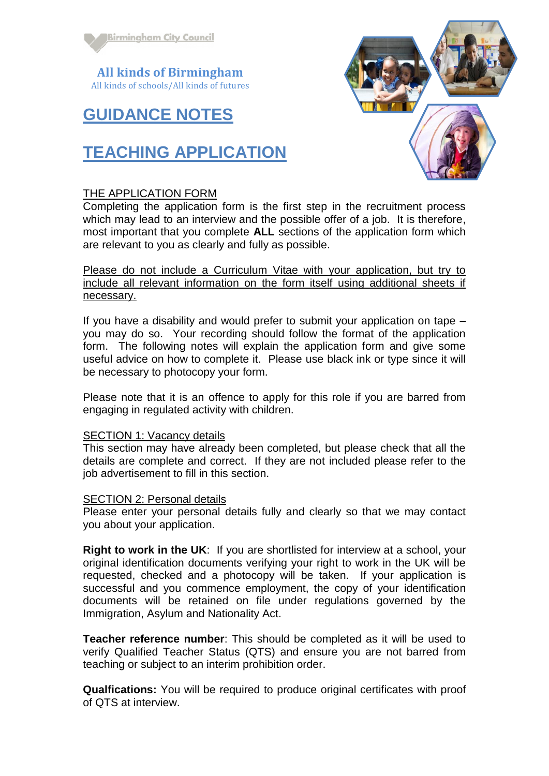

**All kinds of Birmingham** All kinds of schools/All kinds of futures

## **GUIDANCE NOTES**

# **TEACHING APPLICATION**

### THE APPLICATION FORM

Completing the application form is the first step in the recruitment process which may lead to an interview and the possible offer of a job. It is therefore, most important that you complete **ALL** sections of the application form which are relevant to you as clearly and fully as possible.

Please do not include a Curriculum Vitae with your application, but try to include all relevant information on the form itself using additional sheets if necessary.

If you have a disability and would prefer to submit your application on tape – you may do so. Your recording should follow the format of the application form. The following notes will explain the application form and give some useful advice on how to complete it. Please use black ink or type since it will be necessary to photocopy your form.

Please note that it is an offence to apply for this role if you are barred from engaging in regulated activity with children.

#### SECTION 1: Vacancy details

This section may have already been completed, but please check that all the details are complete and correct. If they are not included please refer to the job advertisement to fill in this section.

#### SECTION 2: Personal details

Please enter your personal details fully and clearly so that we may contact you about your application.

**Right to work in the UK**: If you are shortlisted for interview at a school, your original identification documents verifying your right to work in the UK will be requested, checked and a photocopy will be taken. If your application is successful and you commence employment, the copy of your identification documents will be retained on file under regulations governed by the Immigration, Asylum and Nationality Act.

**Teacher reference number**: This should be completed as it will be used to verify Qualified Teacher Status (QTS) and ensure you are not barred from teaching or subject to an interim prohibition order.

**Qualfications:** You will be required to produce original certificates with proof of QTS at interview.

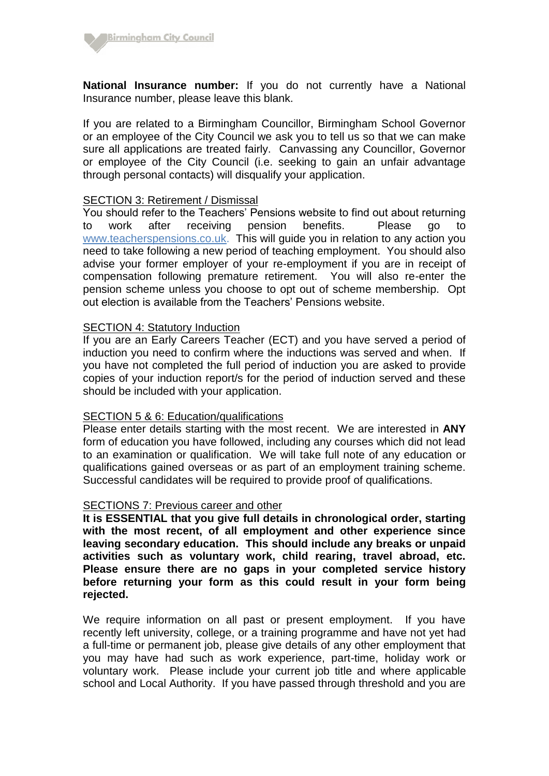

**National Insurance number:** If you do not currently have a National Insurance number, please leave this blank.

If you are related to a Birmingham Councillor, Birmingham School Governor or an employee of the City Council we ask you to tell us so that we can make sure all applications are treated fairly. Canvassing any Councillor, Governor or employee of the City Council (i.e. seeking to gain an unfair advantage through personal contacts) will disqualify your application.

### SECTION 3: Retirement / Dismissal

You should refer to the Teachers' Pensions website to find out about returning to work after receiving pension benefits. Please go to [www.teacherspensions.co.uk.](http://www.teacherspensions.co.uk/) This will guide you in relation to any action you need to take following a new period of teaching employment. You should also advise your former employer of your re-employment if you are in receipt of compensation following premature retirement. You will also re-enter the pension scheme unless you choose to opt out of scheme membership. Opt out election is available from the Teachers' Pensions website.

#### SECTION 4: Statutory Induction

If you are an Early Careers Teacher (ECT) and you have served a period of induction you need to confirm where the inductions was served and when. If you have not completed the full period of induction you are asked to provide copies of your induction report/s for the period of induction served and these should be included with your application.

#### SECTION 5 & 6: Education/qualifications

Please enter details starting with the most recent. We are interested in **ANY** form of education you have followed, including any courses which did not lead to an examination or qualification. We will take full note of any education or qualifications gained overseas or as part of an employment training scheme. Successful candidates will be required to provide proof of qualifications.

#### SECTIONS 7: Previous career and other

**It is ESSENTIAL that you give full details in chronological order, starting with the most recent, of all employment and other experience since leaving secondary education. This should include any breaks or unpaid activities such as voluntary work, child rearing, travel abroad, etc. Please ensure there are no gaps in your completed service history before returning your form as this could result in your form being rejected.**

We require information on all past or present employment. If you have recently left university, college, or a training programme and have not yet had a full-time or permanent job, please give details of any other employment that you may have had such as work experience, part-time, holiday work or voluntary work. Please include your current job title and where applicable school and Local Authority. If you have passed through threshold and you are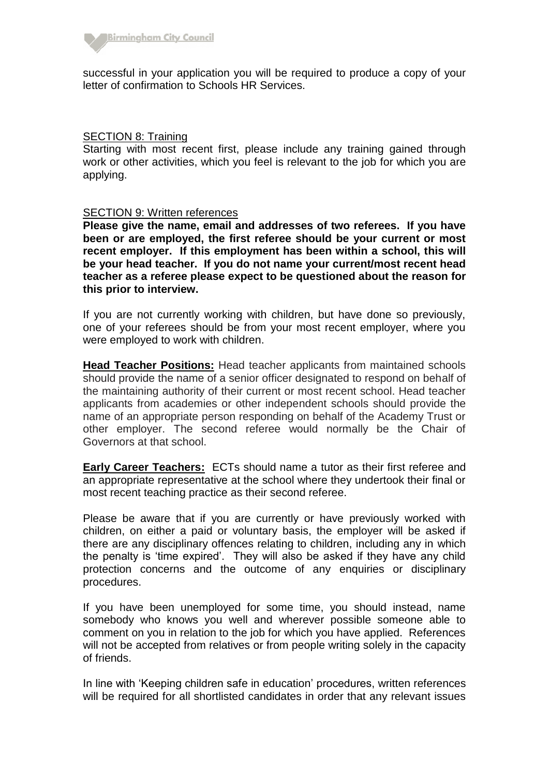

successful in your application you will be required to produce a copy of your letter of confirmation to Schools HR Services.

#### SECTION 8: Training

Starting with most recent first, please include any training gained through work or other activities, which you feel is relevant to the job for which you are applying.

#### **SECTION 9: Written references**

**Please give the name, email and addresses of two referees. If you have been or are employed, the first referee should be your current or most recent employer. If this employment has been within a school, this will be your head teacher. If you do not name your current/most recent head teacher as a referee please expect to be questioned about the reason for this prior to interview.**

If you are not currently working with children, but have done so previously, one of your referees should be from your most recent employer, where you were employed to work with children.

**Head Teacher Positions:** Head teacher applicants from maintained schools should provide the name of a senior officer designated to respond on behalf of the maintaining authority of their current or most recent school. Head teacher applicants from academies or other independent schools should provide the name of an appropriate person responding on behalf of the Academy Trust or other employer. The second referee would normally be the Chair of Governors at that school.

**Early Career Teachers:** ECTs should name a tutor as their first referee and an appropriate representative at the school where they undertook their final or most recent teaching practice as their second referee.

Please be aware that if you are currently or have previously worked with children, on either a paid or voluntary basis, the employer will be asked if there are any disciplinary offences relating to children, including any in which the penalty is 'time expired'. They will also be asked if they have any child protection concerns and the outcome of any enquiries or disciplinary procedures.

If you have been unemployed for some time, you should instead, name somebody who knows you well and wherever possible someone able to comment on you in relation to the job for which you have applied. References will not be accepted from relatives or from people writing solely in the capacity of friends.

In line with 'Keeping children safe in education' procedures, written references will be required for all shortlisted candidates in order that any relevant issues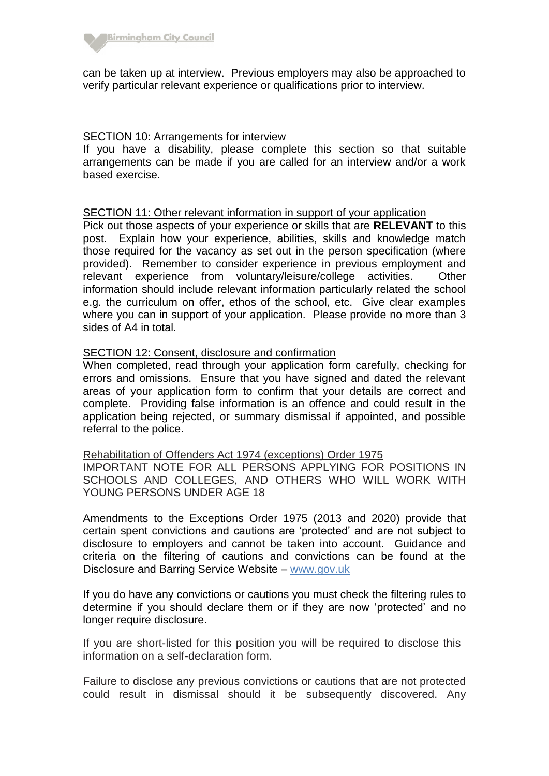

can be taken up at interview. Previous employers may also be approached to verify particular relevant experience or qualifications prior to interview.

#### SECTION 10: Arrangements for interview

If you have a disability, please complete this section so that suitable arrangements can be made if you are called for an interview and/or a work based exercise.

#### SECTION 11: Other relevant information in support of your application

Pick out those aspects of your experience or skills that are **RELEVANT** to this post. Explain how your experience, abilities, skills and knowledge match those required for the vacancy as set out in the person specification (where provided). Remember to consider experience in previous employment and relevant experience from voluntary/leisure/college activities. Other information should include relevant information particularly related the school e.g. the curriculum on offer, ethos of the school, etc. Give clear examples where you can in support of your application. Please provide no more than 3 sides of A4 in total.

#### SECTION 12: Consent, disclosure and confirmation

When completed, read through your application form carefully, checking for errors and omissions. Ensure that you have signed and dated the relevant areas of your application form to confirm that your details are correct and complete. Providing false information is an offence and could result in the application being rejected, or summary dismissal if appointed, and possible referral to the police.

#### Rehabilitation of Offenders Act 1974 (exceptions) Order 1975

IMPORTANT NOTE FOR ALL PERSONS APPLYING FOR POSITIONS IN SCHOOLS AND COLLEGES, AND OTHERS WHO WILL WORK WITH YOUNG PERSONS UNDER AGE 18

Amendments to the Exceptions Order 1975 (2013 and 2020) provide that certain spent convictions and cautions are 'protected' and are not subject to disclosure to employers and cannot be taken into account. Guidance and criteria on the filtering of cautions and convictions can be found at the Disclosure and Barring Service Website – [www.gov.uk](https://www.gov.uk/government/publications/filtering-rules-for-criminal-record-check-certificates/new-filtering-rules-for-dbs-certificates-from-28-november-2020-onwards)

If you do have any convictions or cautions you must check the filtering rules to determine if you should declare them or if they are now 'protected' and no longer require disclosure.

If you are short-listed for this position you will be required to disclose this information on a self-declaration form.

Failure to disclose any previous convictions or cautions that are not protected could result in dismissal should it be subsequently discovered. Any